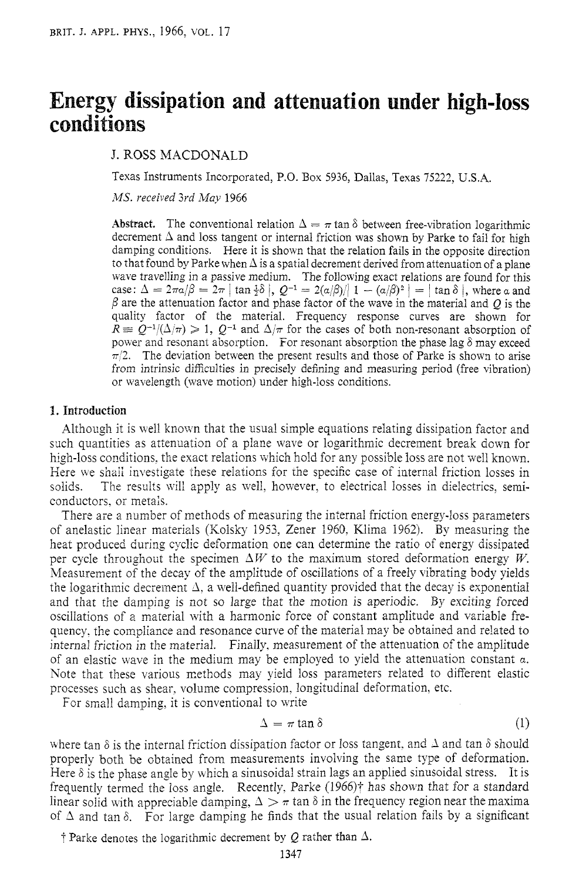# Energy dissipation and attenuation under high-loss conditions

J. ROSS MACDONALD

Texas Instruments Incorporated, P.O. Box 5936, Dallas, Texas 75222, U.S.A.

*IWS. veceived 3rd May* 1966

**Abstract.** The conventional relation  $\Delta = \pi \tan \delta$  between free-vibration logarithmic decrement  $\Delta$  and loss tangent or internal friction was shown by Parke to fail for high damping conditions. Here it is shown that the relation fails in the opposite direction to that found by Parke when  $\Delta$  is a spatial decrement derived from attenuation of a plane wave travelling in a passive medium. The following exact relations are found for this case:  $\Delta = 2\pi a/\beta = 2\pi |\tan \frac{1}{2}\delta|$ ,  $Q^{-1} = 2(a/\beta)/|1 - (a/\beta)^2| = |\tan \delta|$ , where a and  $\beta$  are the attenuation factor and phase factor of the wave in the material and *O* is the quality factor of the material. Frequency response curves are shown for  $R \equiv Q^{-1}/(\Delta/\pi) \geq 1$ ,  $Q^{-1}$  and  $\Delta/\pi$  for the cases of both non-resonant absorption of power and resonant absorption. For resonant absorption the phase lag  $\delta$  may exceed  $\pi/2$ . The deviation between the present results and those of Parke is shown to arise from intrinsic difficulties in precisely defining and measuring period (free vibration) or wavelength (wave motion) under high-loss conditions.

### **I. Introduction**

Although it is well known that the usual simple equations relating dissipation factor and such quantities as attenuation of a plane wave or logarithmic decrement break down for high-loss conditions, the exact relations which hold for any possible loss are not well known. Here we shall investigate these relations for the specific case of internal friction losses in solids. The results will apply as well, however, to electrical losses in dielectrics, semiconductors. or metals.

There are a number of methods of measuring the internal friction energy-loss parameters of anelastic linear materials (Kolsky 1953, Zener 1960, Klima 1962). By measuring the heat produced during cyclic deformation one can determine the ratio of energy dissipated per cycle throughout the specimen  $\Delta W$  to the maximum stored deformation energy *W*. Measurement of the decay of the amplitude of oscillations of a freely vibrating body yields the logarithmic decrement  $\Delta$ , a well-defined quantity provided that the decay is exponential and that the damping is not so large that the motion is aperiodic. By exciting forced osciilations of *2* material with a harmonic force of constant amplitude and variable frequency, the compliance and resonance curve of the material may be obtained and related to interna! friction in the material. Finaily, measurement of the attenuation of the amplitude of an elastic wave in the medium may be employed to yield the attenuation constant *a.*  Note that these various methods may yield loss parameters related to different elastic processes such as shear, volume compression, longitudinal deformation, etc.

For small damping, it is conventional to write

$$
\Delta = \pi \tan \delta \tag{1}
$$

where tan  $\delta$  is the internal friction dissipation factor or loss tangent, and  $\Delta$  and tan  $\delta$  should properly both be obtained from measurements involving the same type of deformation. Here  $\delta$  is the phase angle by which a sinusoidal strain lags an applied sinusoidal stress. It is frequently termed the loss angle. Recently, Parke (1966)<sup>†</sup> has shown that for a standard linear solid with appreciable damping,  $\Delta > \pi$  tan  $\delta$  in the frequency region near the maxima of  $\Delta$  and tan  $\delta$ . For large damping he finds that the usual relation fails by a significant

 $\dot{\tau}$  Parke denotes the logarithmic decrement by Q rather than  $\Delta$ .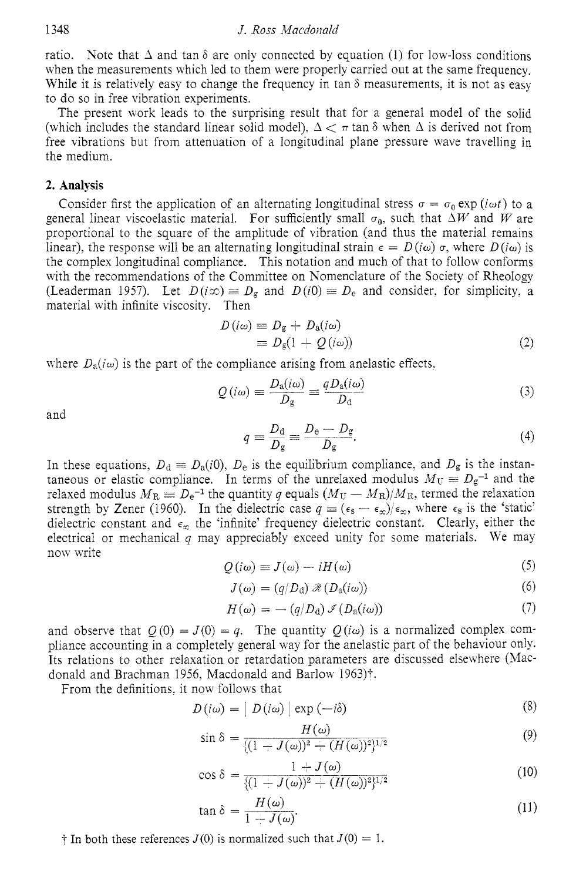ratio. Note that  $\Delta$  and tan  $\delta$  are only connected by equation (1) for low-loss conditions when the measurements which led to them were properly carried out at the same frequency. While it is relatively easy to change the frequency in tan  $\delta$  measurements, it is not as easy to do so in free vibration experiments.

The present uork leads to the surprising result that for a general model of the solid (which includes the standard linear solid model),  $\Delta < \pi$  tan  $\delta$  when  $\Delta$  is derived not from free vibrations but from attenuation of a longitudinal plane pressure wave travelling in the medium.

#### **2. Analysis**

Consider first the application of an alternating longitudinal stress  $\sigma = \sigma_0 \exp(i\omega t)$  to a general linear viscoelastic material. For sufficiently small  $\sigma_0$ , such that  $\Delta W$  and *W* are proportional to the square of the amplitude of vibration (and thus the material remains linear), the response will be an alternating longitudinal strain  $\epsilon = D(i\omega) \sigma$ , where  $D(i\omega)$  is the complex longitudinal compliance. This notation and much of that to follow conforms with the recommendations of the Committee on Nomenclature of the Society of Rheology (Leaderman 1957). Let  $D(i\infty) \equiv D_g$  and  $D(i0) \equiv D_e$  and consider, for simplicity, a material with infinite viscosity. Then

$$
D(i\omega) \equiv D_g + D_a(i\omega)
$$
  

$$
\equiv D_g(1 + Q(i\omega))
$$
 (2)

where  $D_a(i\omega)$  is the part of the compliance arising from anelastic effects.

$$
Q(i\omega) = \frac{D_{\rm a}(i\omega)}{D_{\rm g}} = \frac{qD_{\rm a}(i\omega)}{D_{\rm d}}
$$
\n(3)

and

$$
q = \frac{D_d}{D_g} = \frac{D_e - D_g}{D_g}.\tag{4}
$$

In these equations,  $D_d \equiv D_a(i0)$ ,  $D_e$  is the equilibrium compliance, and  $D_g$  is the instantaneous or elastic compliance. In terms of the unrelaxed modulus  $M_U \equiv D_g^{-1}$  and the relaxed modulus  $M_R \equiv D_e^{-1}$  the quantity *q* equals  $(M_U - M_R)/M_R$ , termed the relaxation relaxed modulus  $M_R \equiv D_e^{-1}$  the quantity q equals  $(M_U - M_R)/M_R$ , termed the relaxation strength by Zener (1960). In the dielectric case  $q \equiv (\epsilon_s - \epsilon_x)/\epsilon_x$ , where  $\epsilon_s$  is the 'static' dielectric constant and  $\epsilon_n$  the 'infinite' frequency dielectric constant. Clearly, either the electrical or mechanical *q* may appreciably exceed unity for some materials. We may now write  $Q(i\omega) = J(\omega) - iH(\omega)$  (5) **(5)** 

$$
Q(i\omega) \equiv J(\omega) - iH(\omega) \tag{5}
$$

$$
J(\omega) = (q/D_{\rm d}) \mathcal{R}(D_{\rm a}(i\omega)) \tag{6}
$$

$$
J(\omega) = (q/D_a) \mathcal{R}(D_a(i\omega))
$$
\n
$$
H(\omega) = -(q/D_a) \mathcal{I}(D_a(i\omega))
$$
\n(7)

and observe that  $O(0) = J(0) = q$ . The quantity  $O(i\omega)$  is a normalized complex compliance accounting in a completely general way for the anelastic part of the behaviour only. Its relations to other relaxation or retardation parameters are discussed elsewhere (Macdonald and Brachman 1956, Macdonald and Barlow 1963)†.

From the definitions: it now follows that

$$
D(i\omega) = | D(i\omega) | \exp(-i\delta)
$$
 (8)

$$
\sin \delta = \frac{H(\omega)}{\{(1 - J(\omega))^2 + (H(\omega))^2\}^{1/2}}
$$
(9)

$$
\cos \delta = \frac{1 + J(\omega)}{\{(1 + J(\omega))^2 + (H(\omega))^2\}^{1/2}}
$$
(10)

$$
\tan \delta = \frac{H(\omega)}{1 + J(\omega)}.\tag{11}
$$

 $\dagger$  In both these references *J*(0) is normalized such that *J*(0) = 1.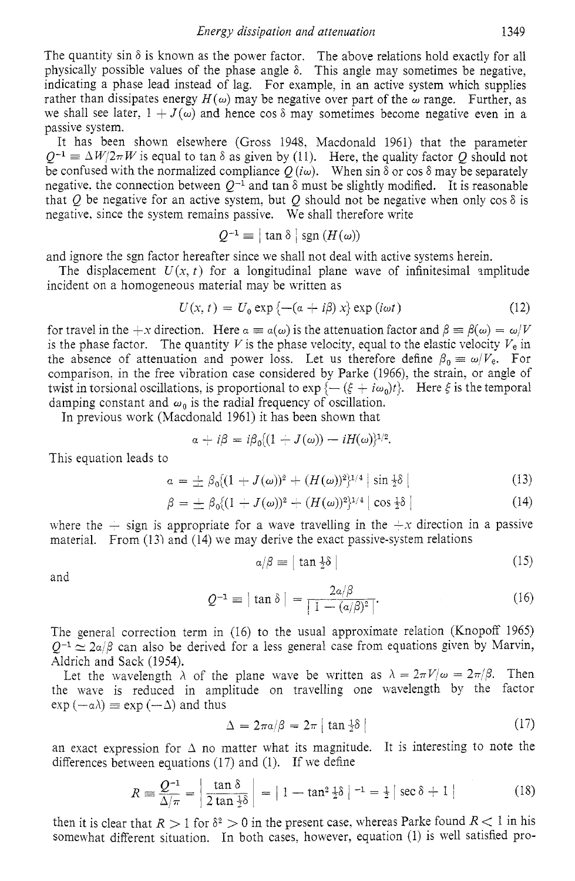The quantity sin  $\delta$  is known as the power factor. The above relations hold exactly for all physically possible values of the phase angle 6. This angle may sometimes be negative, indicating a phase lead instead of lag. For example, in an active system which supplies rather than dissipates energy  $H(\omega)$  may be negative over part of the  $\omega$  range. Further, as we shall see later,  $1 + J(\omega)$  and hence cos  $\delta$  may sometimes become negative even in a passive system.

It has been shown elsewhere (Gross 1948, Macdonald 1961) that the parameter  $Q^{-1} \equiv \Delta W/2\pi W$  is equal to tan  $\delta$  as given by (11). Here, the quality factor Q should not be confused with the normalized compliance  $O(i\omega)$ . When sin  $\delta$  or cos  $\delta$  may be separately negative. the connection between  $Q^{-1}$  and tan  $\delta$  must be slightly modified. It is reasonable that Q be negative for an active system, but Q should not be negative when only  $\cos \delta$  is negative. since the system remains passive. We shall therefore write

$$
Q^{-1} \equiv |\tan \delta| \operatorname{sgn} (H(\omega))
$$

and ignore the sgn factor hereafter since we shall not deal with active systems herein.

The displacement  $U(x, t)$  for a longitudinal plane wave of infinitesimal amplitude incident on a homogeneous material may be written as

$$
U(x, t) = U_0 \exp \left\{-\left(a + i\beta\right)x\right\} \exp\left(i\omega t\right) \tag{12}
$$

for travel in the  $+x$  direction. Here  $a \equiv a(\omega)$  is the attenuation factor and  $\beta \equiv \beta(\omega) = \omega/V$ is the phase factor. The quantity  $V$  is the phase velocity, equal to the elastic velocity  $V_e$  in the absence of attenuation and power loss. Let us therefore define  $\beta_0 \equiv \omega/V_e$ . For comparison. in the free vibration case considered by Parke (1966), the strain, or angle of twist in torsional oscillations, is proportional to  $exp(- (\xi + i\omega_0)t)$ . Here  $\xi$  is the temporal damping constant and  $\omega_0$  is the radial frequency of oscillation.

In previous work (Macdonald 1961) it has been shown that<br> $a + i\beta = i\beta_0 \{(1 + J(\omega)) - iH(\omega)\}^{1/2}.$ 

$$
\alpha + i\beta = i\beta_0 \{(1 - J(\omega)) - iH(\omega)\}^{1/2}.
$$

This equation leads to

$$
\alpha = \pm \beta_0 \{ (1 + J(\omega))^2 + (H(\omega))^2 \}^{1/4} | \sin \frac{1}{2} \delta |
$$
 (13)

$$
\alpha = \pm \beta_0((1 + J(\omega))^2 + (H(\omega))^2)^{1/2} |\sin \frac{\pi}{2} \sigma|
$$
\n
$$
\beta = \pm \beta_0((1 + J(\omega))^2 + (H(\omega))^2)^{1/4} |\cos \frac{\pi}{2} \delta|
$$
\n(14)

where the  $-$  sign is appropriate for a wave travelling in the  $+x$  direction in a passive material. From (13) and (14) we may derive the exact passive-system relations

$$
\alpha/\beta \equiv |\tan \frac{1}{2}\delta| \tag{15}
$$

and

$$
Q^{-1} \equiv |\tan \delta| = \frac{2a/\beta}{\left|1 - (a/\beta)^2\right|}.
$$
 (16)

The general correction term in (16) to the usual approximate relation (Knopoff 1965)  $Q^{-1} \simeq 2\alpha/\beta$  can also be derived for a less general case from equations given by Marvin, Aldrich and Sack (1954).

Let the wavelength  $\lambda$  of the plane wave be written as  $\lambda = 2\pi V/\omega = 2\pi/\beta$ . Then the wabe is reduced in amplitude on travelling one wavelength by the factor  $\exp(-\alpha\lambda) \equiv \exp(-\Delta)$  and thus

$$
\Delta = 2\pi a/\beta = 2\pi \left[ \tan \frac{1}{2}\delta \right] \tag{17}
$$

an exact expression for  $\Delta$  no matter what its magnitude. It is interesting to note the differences between equations (17) and (1). If we define

$$
R = \frac{Q^{-1}}{\Delta/\pi} = \left| \frac{\tan \delta}{2 \tan \frac{1}{2} \delta} \right| = |1 - \tan^2 \frac{1}{2} \delta|^{-1} = \frac{1}{2} |\sec \delta + 1|
$$
 (18)

then it is clear that  $R > 1$  for  $\delta^2 > 0$  in the present case, whereas Parke found  $R < 1$  in his somewhat different situation. In both cases, however, equation (1) is well satisfied pro-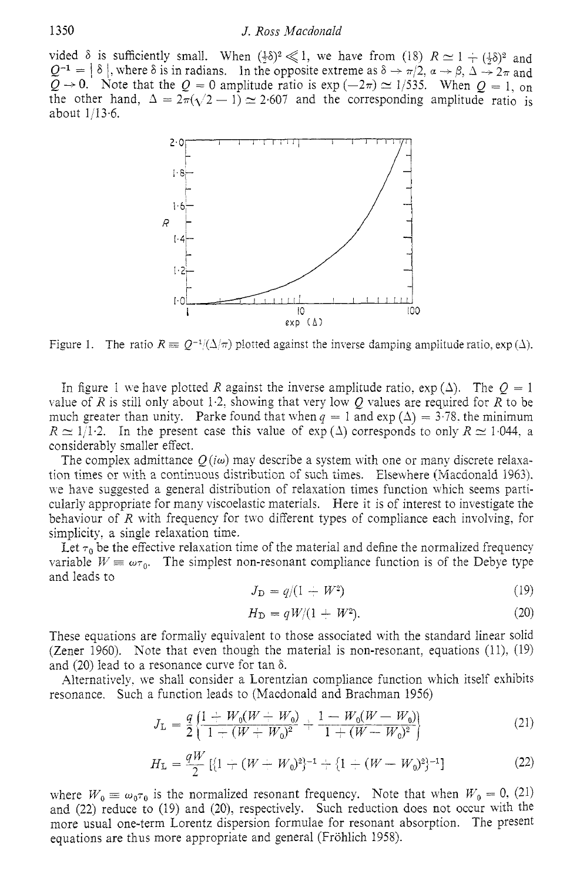vided  $\delta$  is sufficiently small. When  $(\frac{1}{2}\delta)^2 \ll 1$ , we have from  $(18)$   $R \approx 1 + (\frac{1}{2}\delta)^2$  and 1350<br>
Vided  $\delta$  is sufficiently small. When  $(\frac{1}{2}\delta)^2 \ll 1$ , we have from (18)  $R \approx 1 + (\frac{1}{2}\delta)^2$  and<br>  $Q^{-1} = |\delta|$ , where  $\delta$  is in radians. In the opposite extreme as  $\delta \rightarrow \pi/2$ ,  $\alpha \rightarrow \beta$ ,  $\Delta \rightarrow 2\pi$  and<br>  $Q \rightarrow 0$ . Note  $Q^{-1} = |\delta|$ , where  $\delta$  is in radians. In the opposite extreme as  $\delta \to \pi/2$ ,  $\alpha \to \beta$ ,  $\Delta \to 2\pi$  and  $Q \to 0$ . Note that the  $Q = 0$  amplitude ratio is exp  $(-2\pi) \simeq 1/535$ . When  $Q = 1$ , on the other hand,  $\Delta = 2\pi(\sqrt{2} - 1) \approx 2.607$  and the corresponding amplitude ratio is about  $1/13.6$ .



Figure 1. The ratio  $R \equiv Q^{-1}(\Delta/\pi)$  plotted against the inverse damping amplitude ratio, exp  $(\Delta)$ .

In figure 1 we have plotted *R* against the inverse amplitude ratio,  $\exp(\Delta)$ . The  $Q = 1$ value of *R* is still only about 1.2, showing that very low  $Q$  values are required for *R* to be much greater than unity. Parke found that when  $q = 1$  and  $\exp(\Delta) = 3.78$ , the minimum  $R \simeq 1/1.2$ . In the present case this value of  $\exp(\Delta)$  corresponds to only  $R \simeq 1.044$ , a considerably smaller efiect.

The complex admittance  $O(i\omega)$  may describe a system with one or many discrete relaxation times or with a continuous distribution of such times. Elsewhere (Macdonald 1963). lye have suggested a general distribution of relaxation times function which seems particularly appropriate for many viscoelastic materials. Here it is of interest to investigate the behaviour of *R* with frequency for two different types of compliance each involving, for simplicity, a single relaxation time.

Let  $\tau_0$  be the effective relaxation time of the material and define the normalized frequency variable  $W \equiv \omega \tau_0$ . The simplest non-resonant compliance function is of the Debye type and leads to

$$
J_{\rm D} = q/(1 + W^2)
$$
 (19)

$$
H_{\rm D} = qW/(1 + W^2). \tag{20}
$$

These equations are formally equivalent to those associated with the standard linear solid (Zener 1960). Note that even though the material is non-resonant, equations  $(11)$ ,  $(19)$ and (20) lead to a resonance curve for tan  $\delta$ .

Alternatively, we shall consider a Lorentzian compliance function which itself exhibits

resonance. Such a function leads to (Macdonald and Brachman 1956)  
\n
$$
J_{\rm L} = \frac{q}{2} \left\{ \frac{1 + W_0 (W + W_0)}{1 + (W + W_0)^2} + \frac{1 - W_0 (W - W_0)}{1 + (W - W_0)^2} \right\}
$$
\n(21)

$$
H_{\rm L} = \frac{qW}{2} \left[ \left\{ 1 + (W - W_0)^2 \right\}^{-1} + \left\{ 1 + (W - W_0)^2 \right\}^{-1} \right] \tag{22}
$$

where  $W_0 \equiv \omega_0 \tau_0$  is the normalized resonant frequency. Note that when  $W_0 = 0$ , (21) and (22) reduce to (19) and (20), respectively. Such reduction does not occur with the more usual one-term Lorentz dispersion formulae for resonant absorption. The present equations are thus more appropriate and general (Frohlich 1958).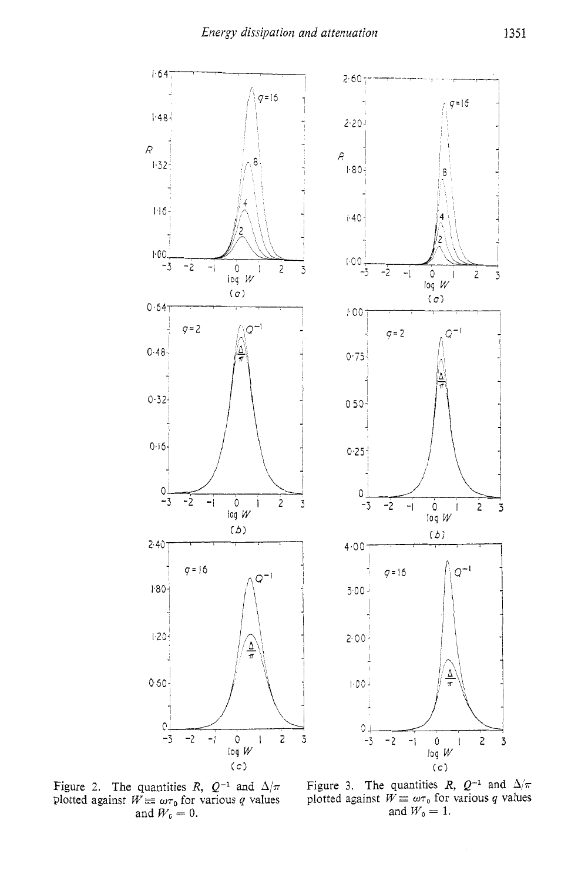

Figure 2. The quantities  $R$ ,  $Q^{-1}$  and  $\Delta/\pi$ plotted against  $W \equiv \omega \tau_0$  for various *q* values and  $W_0 = 0$ .

Figure 3. The quantities *R*,  $Q^{-1}$  and  $\Delta/\pi$ <br>plotted against  $W \equiv \omega \tau_0$  for various *q* values and  $W_0 = 1$ .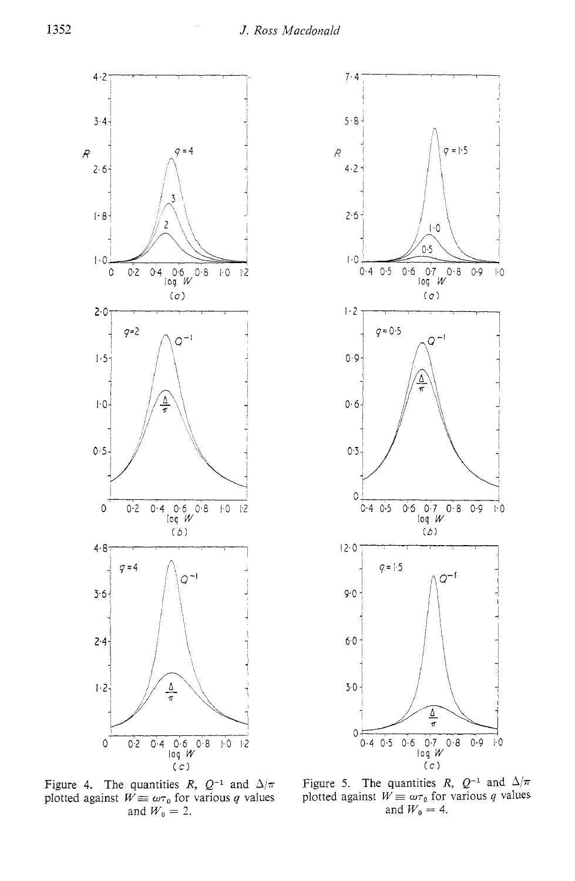**74** 

 $\overline{\mathcal{R}}$ 



5.6'  $q=1.5$  $4.2$  $2·6$  $\overline{1}$ .0  $0.5$  $1.0$ 0.4 0.5 0.6 **0.7** 0.8 0.9 1.0 log *w*   $(\sigma)$  $1.2$  $q = 0.5$  $Q^{-1}$  $0.9$ ∆  $0.6$  $0.3$ 0  $0.4$  0.5  $0.6$   $0.7$  $0.8 0.9$  $|0\rangle$  $log$   $W$  $(b)$  $12.0$  $q = 1.5$  $Q^{-1}$  $9.0$  $60$  $3.0 \frac{\Delta}{\pi}$  $0<sup>1</sup>$  $0.4$  0.5  $0.6$  $0.7$  $0.8$  $0.9$  $\frac{1}{2}$  $log$   $W$ *(C)* 

I



Figure 5. The quantities R,  $Q^{-1}$  and  $\Delta/\pi$ plotted against  $W \equiv \omega \tau_0$  for various *q* values and  $W_0 = 4$ .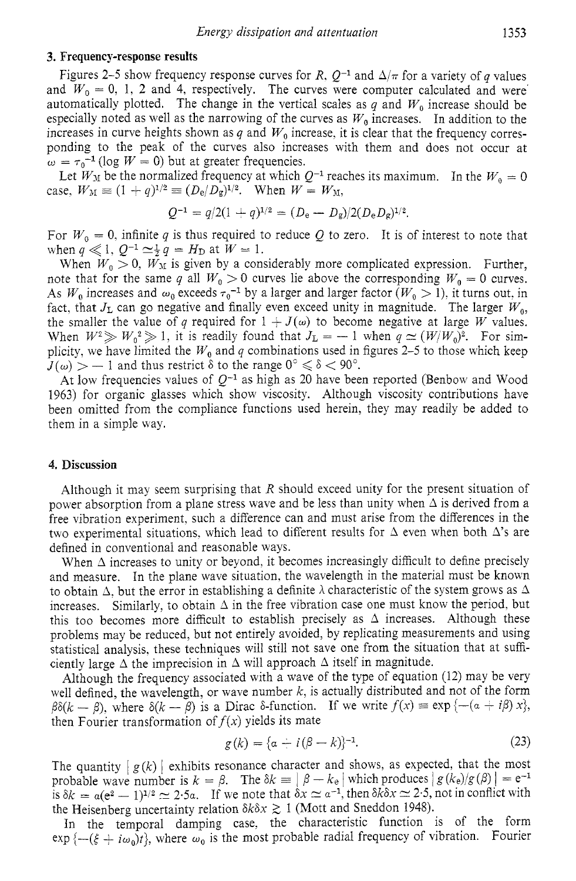#### **3. Frequency-response results**

Figures 2–5 show frequency response curves for *R*,  $Q^{-1}$  and  $\Delta/\pi$  for a variety of *q* values and  $W_0 = 0$ , 1, 2 and 4, respectively. The curves were computer calculated and were automatically plotted. The change in the vertical scales as  $q$  and  $W_0$  increase should be especially noted as well as the narrowing of the curves as  $W_0$  increases. In addition to the increases in curve heights shown as  $q$  and  $W_0$  increase, it is clear that the frequency corresponding to the peak of the curves also increases with them and does not occur at  $\omega = \tau_0^{-1}$  (log *W* = 0) but at greater frequencies.

Let  $W_M$  be the normalized frequency at which  $Q^{-1}$  reaches its maximum. In the  $W_0 = 0$ case,  $W_M \equiv (1 + q)^{1/2} \equiv (D_e/D_g)^{1/2}$ . When  $W = W_M$ ,<br>  $Q^{-1} = q/2(1 + q)^{1/2} = (D_e - D_g)/2(D_e D_g)^{1/2}$ .

$$
Q^{-1} = q/2(1+q)^{1/2} = (D_{\rm e} - D_{\rm g})/2(D_{\rm e}D_{\rm g})^{1/2}.
$$

For  $W_0 = 0$ , infinite q is thus required to reduce Q to zero. It is of interest to note that when  $q \ll 1$ ,  $Q^{-1} \simeq \frac{1}{2} q = H_D$  at  $W = 1$ .

When  $W_0 > 0$ ,  $W_M$  is given by a considerably more complicated expression. Further, note that for the same *q* all  $W_0 > 0$  curves lie above the corresponding  $W_0 = 0$  curves. As  $W_0$  increases and  $\omega_0$  exceeds  $\tau_0^{-1}$  by a larger and larger factor  $(W_0 > 1)$ , it turns out, in fact, that  $J_L$  can go negative and finally even exceed unity in magnitude. The larger  $W_0$ , the smaller the value of *q* required for  $1 + J(\omega)$  to become negative at large *W* values.<br>When  $W^2 \gg W_0^2 \gg 1$ , it is readily found that  $J_L = -1$  when  $q \simeq (W/W_0)^2$ . For simplicity, we have limited the  $W_0$  and  $q$  combinations used in figures 2–5 to those which keep When  $W^2 \gg W_0^2 \gg 1$ , it is readily found that  $J_L = -1$  when  $q \simeq (W/W_0)^2$ . For simplicity, we have limited the  $W_0$  and  $q$  combinations used in figures 2–5 to those which keep  $J(\omega) > -1$  and thus restrict  $\delta$  to the r

At low frequencies values of  $Q^{-1}$  as high as 20 have been reported (Benbow and Wood 1963) for organic glasses which show viscosity. Although viscosity contributions have been omitted from the compliance functions used herein. they may readily be added to them in a simple way.

## **4. Discussion**

Although it may seem surprising that *R* should exceed unity for the present situation of power absorption from a plane stress wave and be less than unity when  $\Delta$  is derived from a free vibration experiment, such a difference can and must arise from the differences in the two experimental situations, which lead to different results for  $\Delta$  even when both  $\Delta$ 's are defined in conventional and reasonable ways.

When  $\Delta$  increases to unity or beyond, it becomes increasingly difficult to define precisely and measure. In the plane wave situation, the wavelength in the material must be known to obtain  $\Delta$ , but the error in establishing a definite  $\lambda$  characteristic of the system grows as  $\Delta$ increases. Similarly, to obtain  $\Delta$  in the free vibration case one must know the period, but this too becomes more difficult to establish precisely as  $\Delta$  increases. Although these problems may be reduced, but not entirely avoided, by replicating measurements and using statistical analysis, these techniques will still not save one from the situation that at sufficiently large  $\Delta$  the imprecision in  $\Delta$  will approach  $\Delta$  itself in magnitude.

Although the frequency associated with a wave of the type of equation (12) may be very Although the frequency associated with a wave of the type of equation (12) may be very<br>well defined, the wavelength, or wave number k, is actually distributed and not of the form<br> $\beta\delta(k-\beta)$ , where  $\delta(k-\beta)$  is a Dirac  $\delta$ then Fourier transformation of  $f(x)$  yields its mate

$$
f(x) \text{ yields its mate}
$$
  
 
$$
g(k) = \{a + i(\beta - k)\}^{-1}.
$$
 (23)

The quantity  $|g(k)|$  exhibits resonance character and shows, as expected, that the most<br>probable wave number is  $k = \beta$ . The  $\delta k = |\beta - k_e|$  which produces  $|g(k_e)/g(\beta)| = e^{-1}$ probable wave number is  $k = \beta$ . The  $\delta k \equiv |\beta - k_e|$  which produces  $|g(k_e)/g(\beta)| = e^{-1}$  is  $\delta k = a(e^2 - 1)^{1/2} \approx 2.5a$ . If we note that  $\delta x \approx a^{-1}$ , then  $\delta k \delta x \approx 2.5$ , not in conflict with the Heisenberg uncertainty relation  $\delta k \delta x \gtrsim 1$  (Mott and Sneddon 1948).

In the temporal damping case, the characteristic function is of the form  $\exp \{- (\xi + i\omega_0)t\}$ , where  $\omega_0$  is the most probable radial frequency of vibration. Fourier